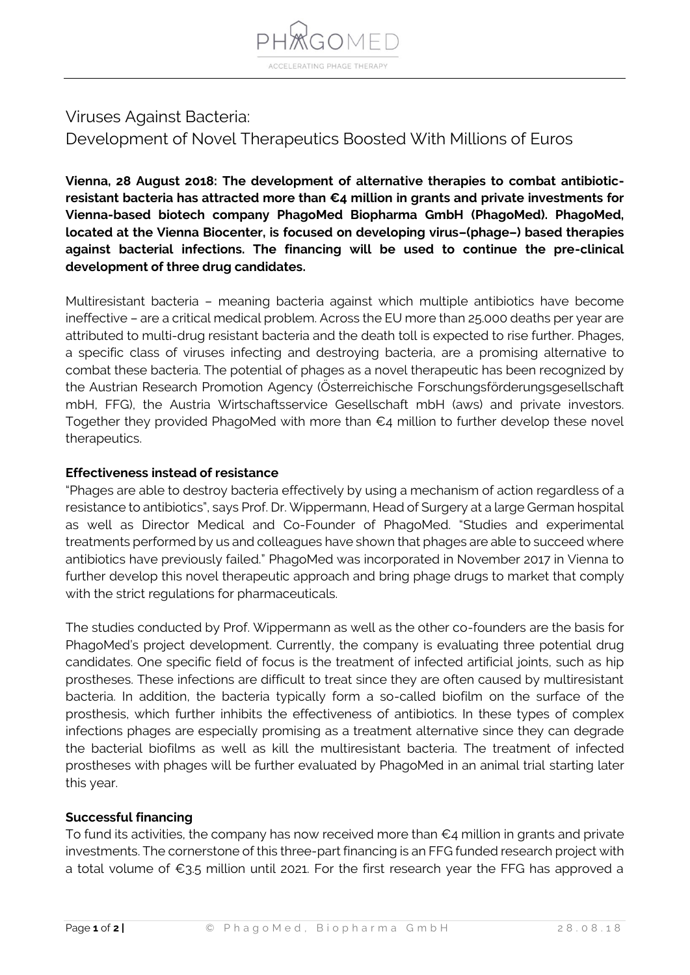

# Viruses Against Bacteria: Development of Novel Therapeutics Boosted With Millions of Euros

**Vienna, 28 August 2018: The development of alternative therapies to combat antibioticresistant bacteria has attracted more than €4 million in grants and private investments for Vienna-based biotech company PhagoMed Biopharma GmbH (PhagoMed). PhagoMed, located at the Vienna Biocenter, is focused on developing virus–(phage–) based therapies against bacterial infections. The financing will be used to continue the pre-clinical development of three drug candidates.**

Multiresistant bacteria – meaning bacteria against which multiple antibiotics have become ineffective – are a critical medical problem. Across the EU more than 25.000 deaths per year are attributed to multi-drug resistant bacteria and the death toll is expected to rise further. Phages, a specific class of viruses infecting and destroying bacteria, are a promising alternative to combat these bacteria. The potential of phages as a novel therapeutic has been recognized by the Austrian Research Promotion Agency (Österreichische Forschungsförderungsgesellschaft mbH, FFG), the Austria Wirtschaftsservice Gesellschaft mbH (aws) and private investors. Together they provided PhagoMed with more than €4 million to further develop these novel therapeutics.

## **Effectiveness instead of resistance**

"Phages are able to destroy bacteria effectively by using a mechanism of action regardless of a resistance to antibiotics", says Prof. Dr. Wippermann, Head of Surgery at a large German hospital as well as Director Medical and Co-Founder of PhagoMed. "Studies and experimental treatments performed by us and colleagues have shown that phages are able to succeed where antibiotics have previously failed." PhagoMed was incorporated in November 2017 in Vienna to further develop this novel therapeutic approach and bring phage drugs to market that comply with the strict regulations for pharmaceuticals.

The studies conducted by Prof. Wippermann as well as the other co-founders are the basis for PhagoMed's project development. Currently, the company is evaluating three potential drug candidates. One specific field of focus is the treatment of infected artificial joints, such as hip prostheses. These infections are difficult to treat since they are often caused by multiresistant bacteria. In addition, the bacteria typically form a so-called biofilm on the surface of the prosthesis, which further inhibits the effectiveness of antibiotics. In these types of complex infections phages are especially promising as a treatment alternative since they can degrade the bacterial biofilms as well as kill the multiresistant bacteria. The treatment of infected prostheses with phages will be further evaluated by PhagoMed in an animal trial starting later this year.

## **Successful financing**

To fund its activities, the company has now received more than  $\epsilon_4$  million in grants and private investments. The cornerstone of this three-part financing is an FFG funded research project with a total volume of €3.5 million until 2021. For the first research year the FFG has approved a